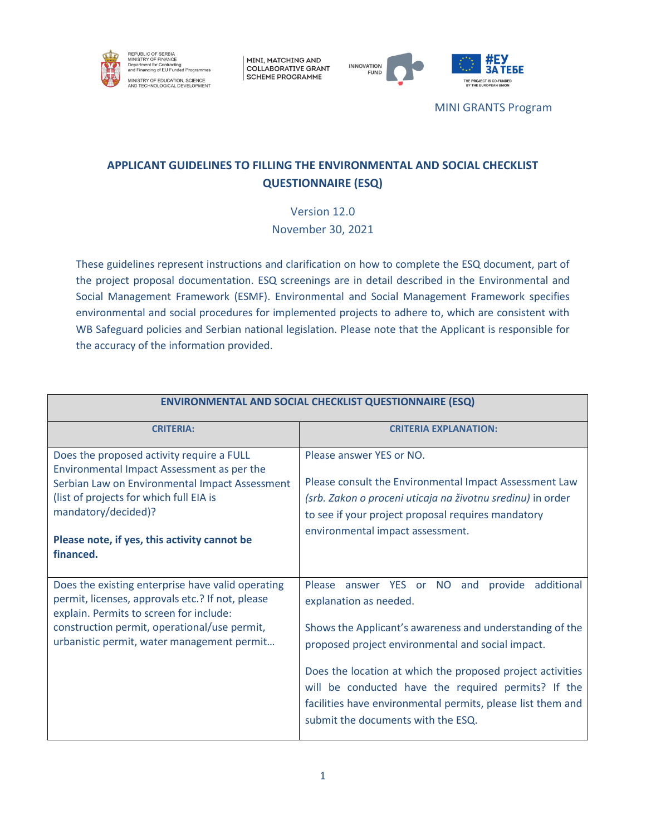

MINI, MATCHING AND **COLLABORATIVE GRANT SCHEME PROGRAMME** 





MINI GRANTS Program

# **APPLICANT GUIDELINES TO FILLING THE ENVIRONMENTAL AND SOCIAL CHECKLIST QUESTIONNAIRE (ESQ)**

Version 12.0 November 30, 2021

These guidelines represent instructions and clarification on how to complete the ESQ document, part of the project proposal documentation. ESQ screenings are in detail described in the Environmental and Social Management Framework (ESMF). Environmental and Social Management Framework specifies environmental and social procedures for implemented projects to adhere to, which are consistent with WB Safeguard policies and Serbian national legislation. Please note that the Applicant is responsible for the accuracy of the information provided.

| <b>ENVIRONMENTAL AND SOCIAL CHECKLIST QUESTIONNAIRE (ESQ)</b>                                                                                                                                                                                                            |                                                                                                                                                                                                                                                                                                                                                                                                                        |
|--------------------------------------------------------------------------------------------------------------------------------------------------------------------------------------------------------------------------------------------------------------------------|------------------------------------------------------------------------------------------------------------------------------------------------------------------------------------------------------------------------------------------------------------------------------------------------------------------------------------------------------------------------------------------------------------------------|
| <b>CRITERIA:</b>                                                                                                                                                                                                                                                         | <b>CRITERIA EXPLANATION:</b>                                                                                                                                                                                                                                                                                                                                                                                           |
| Does the proposed activity require a FULL<br>Environmental Impact Assessment as per the<br>Serbian Law on Environmental Impact Assessment<br>(list of projects for which full EIA is<br>mandatory/decided)?<br>Please note, if yes, this activity cannot be<br>financed. | Please answer YES or NO.<br>Please consult the Environmental Impact Assessment Law<br>(srb. Zakon o proceni uticaja na životnu sredinu) in order<br>to see if your project proposal requires mandatory<br>environmental impact assessment.                                                                                                                                                                             |
| Does the existing enterprise have valid operating<br>permit, licenses, approvals etc.? If not, please<br>explain. Permits to screen for include:<br>construction permit, operational/use permit,<br>urbanistic permit, water management permit                           | Please answer YES or NO and<br>provide additional<br>explanation as needed.<br>Shows the Applicant's awareness and understanding of the<br>proposed project environmental and social impact.<br>Does the location at which the proposed project activities<br>will be conducted have the required permits? If the<br>facilities have environmental permits, please list them and<br>submit the documents with the ESQ. |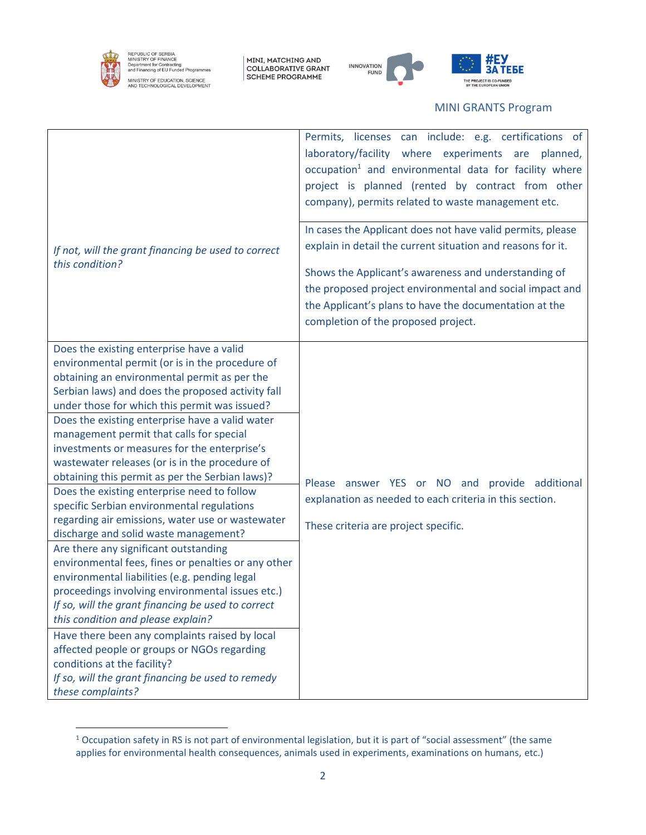

REPUBLIC OF SERBIA<br>MINISTRY OF FINANCE<br>Department for Contracting<br>and Financing of EU Funded Programmes MINISTRY OF EDUCATION, SCIENCE<br>AND TECHNOLOGICAL DEVELOPMENT

MINI, MATCHING AND<br>COLLABORATIVE GRANT<br>SCHEME PROGRAMME





#### MINI GRANTS Program

| If not, will the grant financing be used to correct<br>this condition?                                                                                                                                                                                                                                                                                                                                                                                                                                                                                                                                                                                                                                                                                                                                                                                                                                                                                                                                                                                                                                                                                                                                      | Permits, licenses can include: e.g. certifications of<br>laboratory/facility where experiments are planned,<br>occupation <sup>1</sup> and environmental data for facility where<br>project is planned (rented by contract from other<br>company), permits related to waste management etc.<br>In cases the Applicant does not have valid permits, please<br>explain in detail the current situation and reasons for it.<br>Shows the Applicant's awareness and understanding of<br>the proposed project environmental and social impact and<br>the Applicant's plans to have the documentation at the<br>completion of the proposed project. |
|-------------------------------------------------------------------------------------------------------------------------------------------------------------------------------------------------------------------------------------------------------------------------------------------------------------------------------------------------------------------------------------------------------------------------------------------------------------------------------------------------------------------------------------------------------------------------------------------------------------------------------------------------------------------------------------------------------------------------------------------------------------------------------------------------------------------------------------------------------------------------------------------------------------------------------------------------------------------------------------------------------------------------------------------------------------------------------------------------------------------------------------------------------------------------------------------------------------|-----------------------------------------------------------------------------------------------------------------------------------------------------------------------------------------------------------------------------------------------------------------------------------------------------------------------------------------------------------------------------------------------------------------------------------------------------------------------------------------------------------------------------------------------------------------------------------------------------------------------------------------------|
| Does the existing enterprise have a valid<br>environmental permit (or is in the procedure of<br>obtaining an environmental permit as per the<br>Serbian laws) and does the proposed activity fall<br>under those for which this permit was issued?<br>Does the existing enterprise have a valid water<br>management permit that calls for special<br>investments or measures for the enterprise's<br>wastewater releases (or is in the procedure of<br>obtaining this permit as per the Serbian laws)?<br>Does the existing enterprise need to follow<br>specific Serbian environmental regulations<br>regarding air emissions, water use or wastewater<br>discharge and solid waste management?<br>Are there any significant outstanding<br>environmental fees, fines or penalties or any other<br>environmental liabilities (e.g. pending legal<br>proceedings involving environmental issues etc.)<br>If so, will the grant financing be used to correct<br>this condition and please explain?<br>Have there been any complaints raised by local<br>affected people or groups or NGOs regarding<br>conditions at the facility?<br>If so, will the grant financing be used to remedy<br>these complaints? | Please answer YES or NO and provide additional<br>explanation as needed to each criteria in this section.<br>These criteria are project specific.                                                                                                                                                                                                                                                                                                                                                                                                                                                                                             |

<sup>&</sup>lt;sup>1</sup> Occupation safety in RS is not part of environmental legislation, but it is part of "social assessment" (the same applies for environmental health consequences, animals used in experiments, examinations on humans, etc.)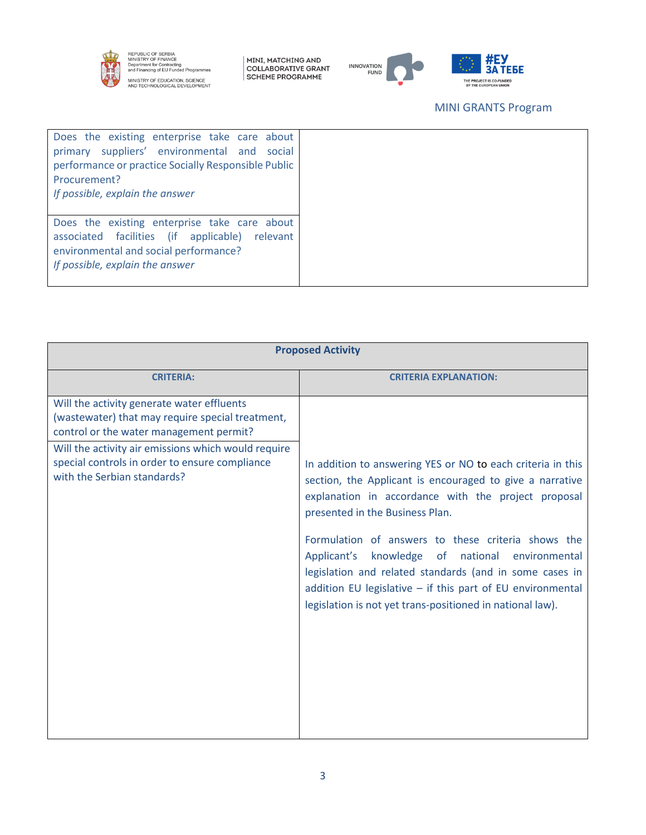

REPUBLIC OF SERBIA<br>MINISTRY OF FINANCE<br>Department for Contracting<br>and Financing of EU Funded Programmes MINISTRY OF EDUCATION, SCIENCE<br>AND TECHNOLOGICAL DEVELOPMENT

MINI, MATCHING AND<br>COLLABORATIVE GRANT<br>SCHEME PROGRAMME





## MINI GRANTS Program

| Does the existing enterprise take care about<br>primary suppliers' environmental and<br>social<br>performance or practice Socially Responsible Public<br>Procurement?<br>If possible, explain the answer |
|----------------------------------------------------------------------------------------------------------------------------------------------------------------------------------------------------------|
| Does the existing enterprise take care about<br>associated facilities (if applicable)<br>relevant<br>environmental and social performance?                                                               |
| If possible, explain the answer                                                                                                                                                                          |

| <b>Proposed Activity</b>                                                                                                                  |                                                                                                                                                                                                                                                                                                                                                                                                                                                                                                                  |  |
|-------------------------------------------------------------------------------------------------------------------------------------------|------------------------------------------------------------------------------------------------------------------------------------------------------------------------------------------------------------------------------------------------------------------------------------------------------------------------------------------------------------------------------------------------------------------------------------------------------------------------------------------------------------------|--|
| <b>CRITERIA:</b>                                                                                                                          | <b>CRITERIA EXPLANATION:</b>                                                                                                                                                                                                                                                                                                                                                                                                                                                                                     |  |
| Will the activity generate water effluents<br>(wastewater) that may require special treatment,<br>control or the water management permit? |                                                                                                                                                                                                                                                                                                                                                                                                                                                                                                                  |  |
| Will the activity air emissions which would require<br>special controls in order to ensure compliance<br>with the Serbian standards?      | In addition to answering YES or NO to each criteria in this<br>section, the Applicant is encouraged to give a narrative<br>explanation in accordance with the project proposal<br>presented in the Business Plan.<br>Formulation of answers to these criteria shows the<br>Applicant's knowledge of national environmental<br>legislation and related standards (and in some cases in<br>addition EU legislative - if this part of EU environmental<br>legislation is not yet trans-positioned in national law). |  |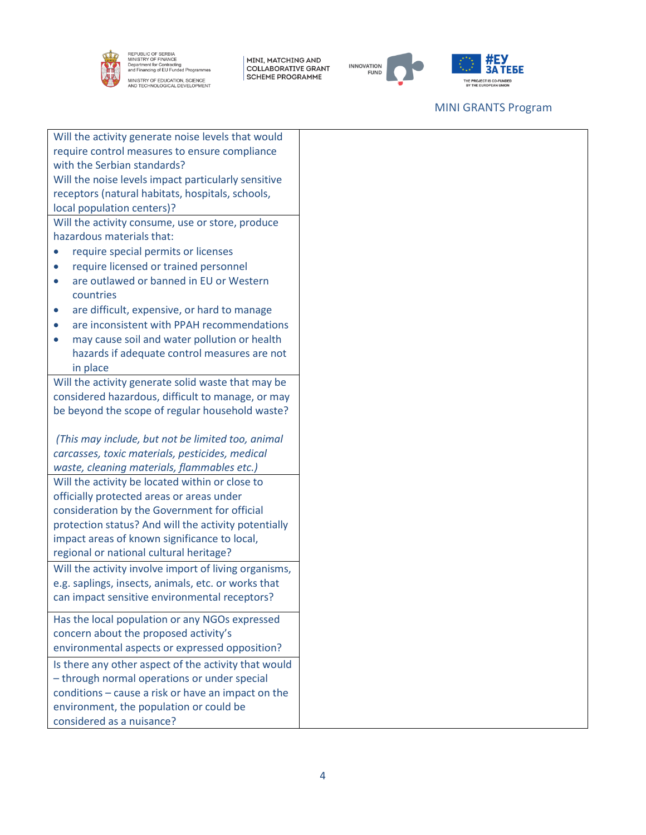

REPUBLIC OF SERBIA<br>MINISTRY OF FINANCE<br>Department for Contracting<br>and Financing of EU Funded Programmes MINISTRY OF EDUCATION, SCIENCE<br>AND TECHNOLOGICAL DEVELOPMENT

MINI, MATCHING AND<br>COLLABORATIVE GRANT<br>SCHEME PROGRAMME





## MINI GRANTS Program

|                                                      | Will the activity generate noise levels that would    |  |
|------------------------------------------------------|-------------------------------------------------------|--|
| require control measures to ensure compliance        |                                                       |  |
| with the Serbian standards?                          |                                                       |  |
| Will the noise levels impact particularly sensitive  |                                                       |  |
|                                                      | receptors (natural habitats, hospitals, schools,      |  |
|                                                      | local population centers)?                            |  |
|                                                      | Will the activity consume, use or store, produce      |  |
|                                                      | hazardous materials that:                             |  |
|                                                      | require special permits or licenses                   |  |
| $\bullet$                                            | require licensed or trained personnel                 |  |
| $\bullet$                                            | are outlawed or banned in EU or Western               |  |
|                                                      | countries                                             |  |
| $\bullet$                                            | are difficult, expensive, or hard to manage           |  |
| $\bullet$                                            | are inconsistent with PPAH recommendations            |  |
| $\bullet$                                            | may cause soil and water pollution or health          |  |
|                                                      | hazards if adequate control measures are not          |  |
|                                                      | in place                                              |  |
|                                                      | Will the activity generate solid waste that may be    |  |
|                                                      | considered hazardous, difficult to manage, or may     |  |
|                                                      | be beyond the scope of regular household waste?       |  |
|                                                      |                                                       |  |
|                                                      | (This may include, but not be limited too, animal     |  |
| carcasses, toxic materials, pesticides, medical      |                                                       |  |
|                                                      | waste, cleaning materials, flammables etc.)           |  |
| Will the activity be located within or close to      |                                                       |  |
|                                                      | officially protected areas or areas under             |  |
|                                                      | consideration by the Government for official          |  |
| protection status? And will the activity potentially |                                                       |  |
|                                                      | impact areas of known significance to local,          |  |
|                                                      | regional or national cultural heritage?               |  |
|                                                      | Will the activity involve import of living organisms, |  |
|                                                      | e.g. saplings, insects, animals, etc. or works that   |  |
|                                                      | can impact sensitive environmental receptors?         |  |
|                                                      | Has the local population or any NGOs expressed        |  |
|                                                      | concern about the proposed activity's                 |  |
|                                                      | environmental aspects or expressed opposition?        |  |
|                                                      | Is there any other aspect of the activity that would  |  |
|                                                      | - through normal operations or under special          |  |
|                                                      | conditions - cause a risk or have an impact on the    |  |
|                                                      | environment, the population or could be               |  |
|                                                      | considered as a nuisance?                             |  |